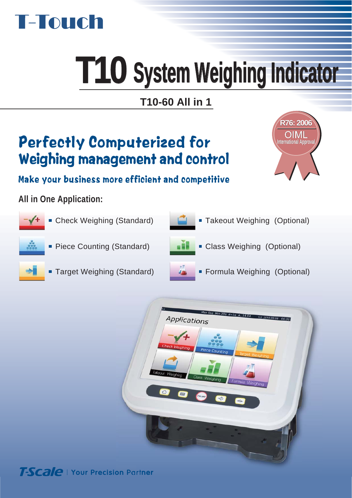

# **T10 System weighing Indicator System Weighing Indicator**

# Perfectly Computerized for Weighing management and control



Make your business more efficient and competitive

## **All in One Application:**



Check Weighing (Standard) ■ Piece Counting (Standard) **Takeout Weighing (Optional) Class Weighing (Optional)** 



- **Target Weighing (Standard)**
- **Formula Weighing (Optional)**